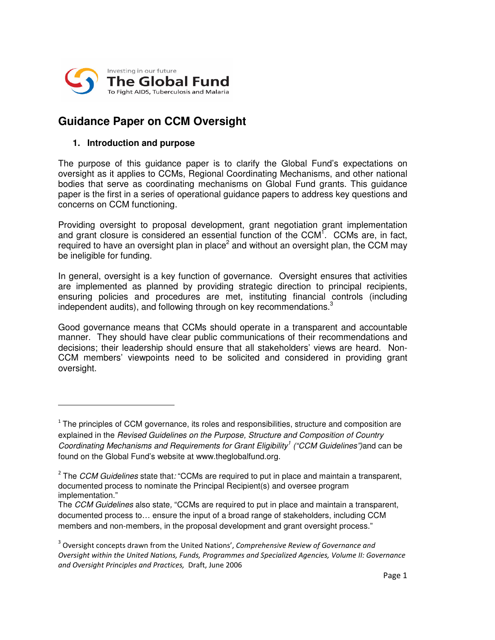

# **Guidance Paper on CCM Oversight**

## **1. Introduction and purpose**

<u> 1989 - Johann Stein, mars et al. 1989 - Anna ann an t-Anna ann an t-Anna ann an t-Anna ann an t-Anna ann an t-</u>

The purpose of this guidance paper is to clarify the Global Fund's expectations on oversight as it applies to CCMs, Regional Coordinating Mechanisms, and other national bodies that serve as coordinating mechanisms on Global Fund grants. This guidance paper is the first in a series of operational guidance papers to address key questions and concerns on CCM functioning.

Providing oversight to proposal development, grant negotiation grant implementation and grant closure is considered an essential function of the CCM<sup>T</sup>. CCMs are, in fact, required to have an oversight plan in place<sup>2</sup> and without an oversight plan, the CCM may be ineligible for funding.

In general, oversight is a key function of governance. Oversight ensures that activities are implemented as planned by providing strategic direction to principal recipients, ensuring policies and procedures are met, instituting financial controls (including independent audits), and following through on key recommendations. 3

Good governance means that CCMs should operate in a transparent and accountable manner. They should have clear public communications of their recommendations and decisions; their leadership should ensure that all stakeholders' views are heard. Non-CCM members' viewpoints need to be solicited and considered in providing grant oversight.

 $1$  The principles of CCM governance, its roles and responsibilities, structure and composition are explained in the *Revised Guidelines on the Purpose, Structure and Composition of Country Coordinating Mechanisms and Requirements for Grant Eligibility 1 ("CCM Guidelines")*and can be found on the Global Fund's website at www.theglobalfund.org.

The *CCM Guidelines* state that*:* "CCMs are required to put in place and maintain a transparent, documented process to nominate the Principal Recipient(s) and oversee program implementation."

The *CCM Guidelines* also state*,* "CCMs are required to put in place and maintain a transparent, documented process to… ensure the input of a broad range of stakeholders, including CCM members and non-members, in the proposal development and grant oversight process."

 $3$  Oversight concepts drawn from the United Nations', Comprehensive Review of Governance and Oversight within the United Nations, Funds, Programmes and Specialized Agencies, Volume II: Governance and Oversight Principles and Practices, Draft, June 2006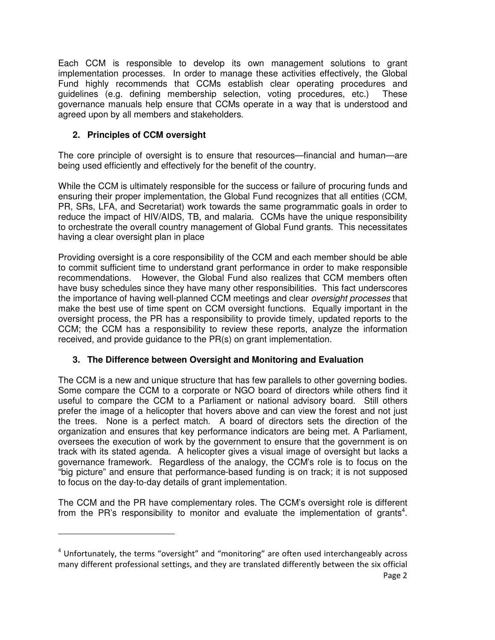Each CCM is responsible to develop its own management solutions to grant implementation processes. In order to manage these activities effectively, the Global Fund highly recommends that CCMs establish clear operating procedures and guidelines (e.g. defining membership selection, voting procedures, etc.) These governance manuals help ensure that CCMs operate in a way that is understood and agreed upon by all members and stakeholders.

# **2. Principles of CCM oversight**

<u> 1989 - Johann Stein, mars et al. 1989 - Anna ann an t-Anna ann an t-Anna ann an t-Anna ann an t-Anna ann an t-</u>

The core principle of oversight is to ensure that resources—financial and human—are being used efficiently and effectively for the benefit of the country.

While the CCM is ultimately responsible for the success or failure of procuring funds and ensuring their proper implementation, the Global Fund recognizes that all entities (CCM, PR, SRs, LFA, and Secretariat) work towards the same programmatic goals in order to reduce the impact of HIV/AIDS, TB, and malaria. CCMs have the unique responsibility to orchestrate the overall country management of Global Fund grants. This necessitates having a clear oversight plan in place

Providing oversight is a core responsibility of the CCM and each member should be able to commit sufficient time to understand grant performance in order to make responsible recommendations. However, the Global Fund also realizes that CCM members often have busy schedules since they have many other responsibilities. This fact underscores the importance of having well-planned CCM meetings and clear *oversight processes* that make the best use of time spent on CCM oversight functions. Equally important in the oversight process, the PR has a responsibility to provide timely, updated reports to the CCM; the CCM has a responsibility to review these reports, analyze the information received, and provide guidance to the PR(s) on grant implementation.

# **3. The Difference between Oversight and Monitoring and Evaluation**

The CCM is a new and unique structure that has few parallels to other governing bodies. Some compare the CCM to a corporate or NGO board of directors while others find it useful to compare the CCM to a Parliament or national advisory board. Still others prefer the image of a helicopter that hovers above and can view the forest and not just the trees. None is a perfect match. A board of directors sets the direction of the organization and ensures that key performance indicators are being met. A Parliament, oversees the execution of work by the government to ensure that the government is on track with its stated agenda. A helicopter gives a visual image of oversight but lacks a governance framework. Regardless of the analogy, the CCM's role is to focus on the "big picture" and ensure that performance-based funding is on track; it is not supposed to focus on the day-to-day details of grant implementation.

The CCM and the PR have complementary roles. The CCM's oversight role is different from the PR's responsibility to monitor and evaluate the implementation of grants<sup>4</sup>.

 $4$  Unfortunately, the terms "oversight" and "monitoring" are often used interchangeably across many different professional settings, and they are translated differently between the six official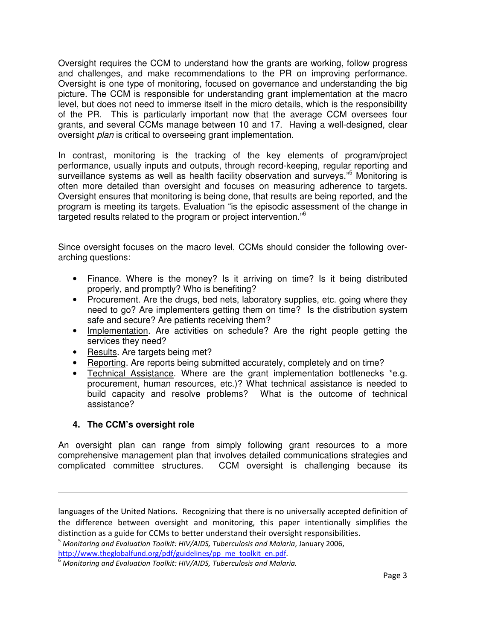Oversight requires the CCM to understand how the grants are working, follow progress and challenges, and make recommendations to the PR on improving performance. Oversight is one type of monitoring, focused on governance and understanding the big picture. The CCM is responsible for understanding grant implementation at the macro level, but does not need to immerse itself in the micro details, which is the responsibility of the PR. This is particularly important now that the average CCM oversees four grants, and several CCMs manage between 10 and 17. Having a well-designed, clear oversight *plan* is critical to overseeing grant implementation.

In contrast, monitoring is the tracking of the key elements of program/project performance, usually inputs and outputs, through record-keeping, regular reporting and surveillance systems as well as health facility observation and surveys." <sup>5</sup> Monitoring is often more detailed than oversight and focuses on measuring adherence to targets. Oversight ensures that monitoring is being done, that results are being reported, and the program is meeting its targets. Evaluation "is the episodic assessment of the change in targeted results related to the program or project intervention." 6

Since oversight focuses on the macro level, CCMs should consider the following overarching questions:

- Finance. Where is the money? Is it arriving on time? Is it being distributed properly, and promptly? Who is benefiting?
- Procurement. Are the drugs, bed nets, laboratory supplies, etc. going where they need to go? Are implementers getting them on time? Is the distribution system safe and secure? Are patients receiving them?
- Implementation. Are activities on schedule? Are the right people getting the services they need?
- Results. Are targets being met?
- Reporting. Are reports being submitted accurately, completely and on time?
- Technical Assistance. Where are the grant implementation bottlenecks \*e.g. procurement, human resources, etc.)? What technical assistance is needed to build capacity and resolve problems? What is the outcome of technical assistance?

#### **4. The CCM's oversight role**

An oversight plan can range from simply following grant resources to a more comprehensive management plan that involves detailed communications strategies and complicated committee structures. CCM oversight is challenging because its

<u> 1989 - Andrea Santa Andrea Andrea Andrea Andrea Andrea Andrea Andrea Andrea Andrea Andrea Andrea Andrea Andr</u>

http://www.theglobalfund.org/pdf/guidelines/pp\_me\_toolkit\_en.pdf.

languages of the United Nations. Recognizing that there is no universally accepted definition of the difference between oversight and monitoring, this paper intentionally simplifies the distinction as a guide for CCMs to better understand their oversight responsibilities.

 $^5$  Monitoring and Evaluation Toolkit: HIV/AIDS, Tuberculosis and Malaria, January 2006,

 $^6$  Monitoring and Evaluation Toolkit: HIV/AIDS, Tuberculosis and Malaria.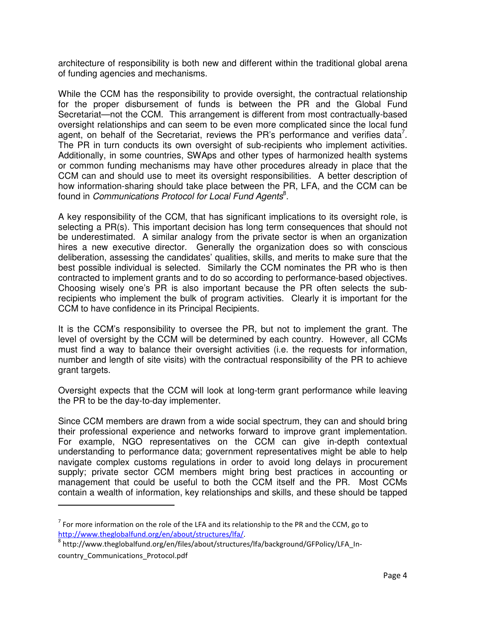architecture of responsibility is both new and different within the traditional global arena of funding agencies and mechanisms.

While the CCM has the responsibility to provide oversight, the contractual relationship for the proper disbursement of funds is between the PR and the Global Fund Secretariat—not the CCM. This arrangement is different from most contractually-based oversight relationships and can seem to be even more complicated since the local fund agent, on behalf of the Secretariat, reviews the PR's performance and verifies data<sup>7</sup>. The PR in turn conducts its own oversight of sub-recipients who implement activities. Additionally, in some countries, SWAps and other types of harmonized health systems or common funding mechanisms may have other procedures already in place that the CCM can and should use to meet its oversight responsibilities. A better description of how information-sharing should take place between the PR, LFA, and the CCM can be found in *Communications Protocol for Local Fund Agents* 8 .

A key responsibility of the CCM, that has significant implications to its oversight role, is selecting a PR(s). This important decision has long term consequences that should not be underestimated. A similar analogy from the private sector is when an organization hires a new executive director. Generally the organization does so with conscious deliberation, assessing the candidates' qualities, skills, and merits to make sure that the best possible individual is selected. Similarly the CCM nominates the PR who is then contracted to implement grants and to do so according to performance-based objectives. Choosing wisely one's PR is also important because the PR often selects the subrecipients who implement the bulk of program activities. Clearly it is important for the CCM to have confidence in its Principal Recipients.

It is the CCM's responsibility to oversee the PR, but not to implement the grant. The level of oversight by the CCM will be determined by each country. However, all CCMs must find a way to balance their oversight activities (i.e. the requests for information, number and length of site visits) with the contractual responsibility of the PR to achieve grant targets.

Oversight expects that the CCM will look at long-term grant performance while leaving the PR to be the day-to-day implementer.

Since CCM members are drawn from a wide social spectrum, they can and should bring their professional experience and networks forward to improve grant implementation. For example, NGO representatives on the CCM can give in-depth contextual understanding to performance data; government representatives might be able to help navigate complex customs regulations in order to avoid long delays in procurement supply; private sector CCM members might bring best practices in accounting or management that could be useful to both the CCM itself and the PR. Most CCMs contain a wealth of information, key relationships and skills, and these should be tapped

 $^7$  For more information on the role of the LFA and its relationship to the PR and the CCM, go to http://www.theglobalfund.org/en/about/structures/Ifa/.

<sup>&</sup>lt;sup>8</sup> http://www.theglobalfund.org/en/files/about/structures/lfa/background/GFPolicy/LFA\_Incountry\_Communications\_Protocol.pdf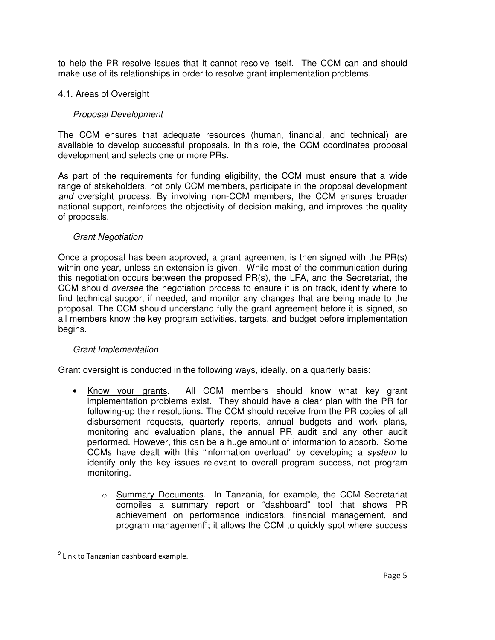to help the PR resolve issues that it cannot resolve itself. The CCM can and should make use of its relationships in order to resolve grant implementation problems.

# 4.1. Areas of Oversight

# *Proposal Development*

The CCM ensures that adequate resources (human, financial, and technical) are available to develop successful proposals. In this role, the CCM coordinates proposal development and selects one or more PRs.

As part of the requirements for funding eligibility, the CCM must ensure that a wide range of stakeholders, not only CCM members, participate in the proposal development *and* oversight process. By involving non-CCM members, the CCM ensures broader national support, reinforces the objectivity of decision-making, and improves the quality of proposals.

#### *Grant Negotiation*

Once a proposal has been approved, a grant agreement is then signed with the PR(s) within one year, unless an extension is given. While most of the communication during this negotiation occurs between the proposed PR(s), the LFA, and the Secretariat, the CCM should *oversee* the negotiation process to ensure it is on track, identify where to find technical support if needed, and monitor any changes that are being made to the proposal. The CCM should understand fully the grant agreement before it is signed, so all members know the key program activities, targets, and budget before implementation begins.

#### *Grant Implementation*

Grant oversight is conducted in the following ways, ideally, on a quarterly basis:

- Know your grants. All CCM members should know what key grant implementation problems exist. They should have a clear plan with the PR for following-up their resolutions. The CCM should receive from the PR copies of all disbursement requests, quarterly reports, annual budgets and work plans, monitoring and evaluation plans, the annual PR audit and any other audit performed. However, this can be a huge amount of information to absorb. Some CCMs have dealt with this "information overload" by developing a *system* to identify only the key issues relevant to overall program success, not program monitoring.
	- o Summary Documents. In Tanzania, for example, the CCM Secretariat compiles a summary report or "dashboard" tool that shows PR achievement on performance indicators, financial management, and program management<sup>9</sup>; it allows the CCM to quickly spot where success

 $^9$  Link to Tanzanian dashboard example.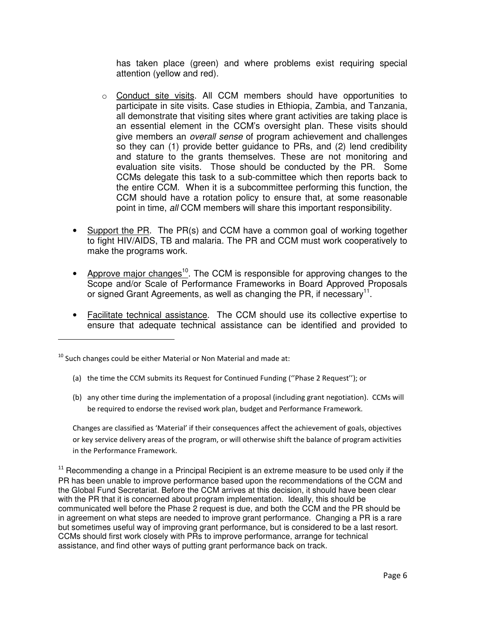has taken place (green) and where problems exist requiring special attention (yellow and red).

- $\circ$  Conduct site visits. All CCM members should have opportunities to participate in site visits. Case studies in Ethiopia, Zambia, and Tanzania, all demonstrate that visiting sites where grant activities are taking place is an essential element in the CCM's oversight plan. These visits should give members an *overall sense* of program achievement and challenges so they can (1) provide better guidance to PRs, and (2) lend credibility and stature to the grants themselves. These are not monitoring and evaluation site visits. Those should be conducted by the PR. Some CCMs delegate this task to a sub-committee which then reports back to the entire CCM. When it is a subcommittee performing this function, the CCM should have a rotation policy to ensure that, at some reasonable point in time, *all* CCM members will share this important responsibility.
- Support the PR. The PR(s) and CCM have a common goal of working together to fight HIV/AIDS, TB and malaria. The PR and CCM must work cooperatively to make the programs work.
- Approve major changes<sup>10</sup>. The CCM is responsible for approving changes to the Scope and/or Scale of Performance Frameworks in Board Approved Proposals or signed Grant Agreements, as well as changing the PR, if necessary<sup>11</sup>.
- Facilitate technical assistance. The CCM should use its collective expertise to ensure that adequate technical assistance can be identified and provided to

 $^{10}$  Such changes could be either Material or Non Material and made at:

- (a) the time the CCM submits its Request for Continued Funding ("Phase 2 Request"); or
- (b) any other time during the implementation of a proposal (including grant negotiation). CCMs will be required to endorse the revised work plan, budget and Performance Framework.

Changes are classified as 'Material' if their consequences affect the achievement of goals, objectives or key service delivery areas of the program, or will otherwise shift the balance of program activities in the Performance Framework.

 $11$  Recommending a change in a Principal Recipient is an extreme measure to be used only if the PR has been unable to improve performance based upon the recommendations of the CCM and the Global Fund Secretariat. Before the CCM arrives at this decision, it should have been clear with the PR that it is concerned about program implementation. Ideally, this should be communicated well before the Phase 2 request is due, and both the CCM and the PR should be in agreement on what steps are needed to improve grant performance. Changing a PR is a rare but sometimes useful way of improving grant performance, but is considered to be a last resort. CCMs should first work closely with PRs to improve performance, arrange for technical assistance, and find other ways of putting grant performance back on track.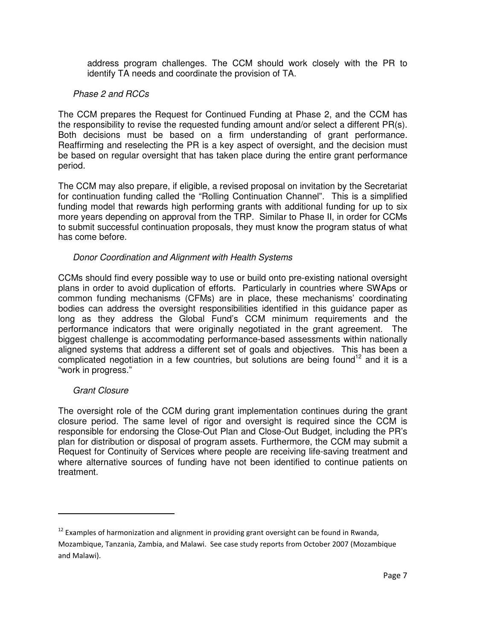address program challenges. The CCM should work closely with the PR to identify TA needs and coordinate the provision of TA.

## *Phase 2 and RCCs*

The CCM prepares the Request for Continued Funding at Phase 2, and the CCM has the responsibility to revise the requested funding amount and/or select a different PR(s). Both decisions must be based on a firm understanding of grant performance. Reaffirming and reselecting the PR is a key aspect of oversight, and the decision must be based on regular oversight that has taken place during the entire grant performance period.

The CCM may also prepare, if eligible, a revised proposal on invitation by the Secretariat for continuation funding called the "Rolling Continuation Channel". This is a simplified funding model that rewards high performing grants with additional funding for up to six more years depending on approval from the TRP. Similar to Phase II, in order for CCMs to submit successful continuation proposals, they must know the program status of what has come before.

# *Donor Coordination and Alignment with Health Systems*

CCMs should find every possible way to use or build onto pre-existing national oversight plans in order to avoid duplication of efforts. Particularly in countries where SWAps or common funding mechanisms (CFMs) are in place, these mechanisms' coordinating bodies can address the oversight responsibilities identified in this guidance paper as long as they address the Global Fund's CCM minimum requirements and the performance indicators that were originally negotiated in the grant agreement. The biggest challenge is accommodating performance-based assessments within nationally aligned systems that address a different set of goals and objectives. This has been a complicated negotiation in a few countries, but solutions are being found<sup>12</sup> and it is a "work in progress."

#### *Grant Closure*

<u> 1989 - Johann Stein, mars et al. 1989 - Anna ann an t-Anna ann an t-Anna ann an t-Anna ann an t-Anna ann an t-</u>

The oversight role of the CCM during grant implementation continues during the grant closure period. The same level of rigor and oversight is required since the CCM is responsible for endorsing the Close-Out Plan and Close-Out Budget, including the PR's plan for distribution or disposal of program assets. Furthermore, the CCM may submit a Request for Continuity of Services where people are receiving life-saving treatment and where alternative sources of funding have not been identified to continue patients on treatment.

 $^{12}$  Examples of harmonization and alignment in providing grant oversight can be found in Rwanda, Mozambique, Tanzania, Zambia, and Malawi. See case study reports from October 2007 (Mozambique and Malawi).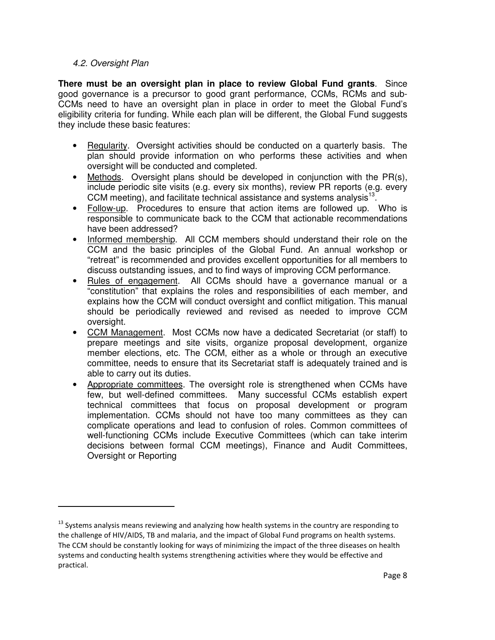#### *4.2. Oversight Plan*

<u> 1989 - Johann Stein, mars et al. 1989 - Anna ann an t-Anna ann an t-Anna ann an t-Anna ann an t-Anna ann an t-</u>

**There must be an oversight plan in place to review Global Fund grants**. Since good governance is a precursor to good grant performance, CCMs, RCMs and sub-CCMs need to have an oversight plan in place in order to meet the Global Fund's eligibility criteria for funding. While each plan will be different, the Global Fund suggests they include these basic features:

- Regularity. Oversight activities should be conducted on a quarterly basis. The plan should provide information on who performs these activities and when oversight will be conducted and completed.
- Methods. Oversight plans should be developed in conjunction with the PR(s), include periodic site visits (e.g. every six months), review PR reports (e.g. every CCM meeting), and facilitate technical assistance and systems analysis $^{13}$ .
- Follow-up. Procedures to ensure that action items are followed up. Who is responsible to communicate back to the CCM that actionable recommendations have been addressed?
- Informed membership. All CCM members should understand their role on the CCM and the basic principles of the Global Fund. An annual workshop or "retreat" is recommended and provides excellent opportunities for all members to discuss outstanding issues, and to find ways of improving CCM performance.
- Rules of engagement. All CCMs should have a governance manual or a "constitution" that explains the roles and responsibilities of each member, and explains how the CCM will conduct oversight and conflict mitigation. This manual should be periodically reviewed and revised as needed to improve CCM oversight.
- CCM Management. Most CCMs now have a dedicated Secretariat (or staff) to prepare meetings and site visits, organize proposal development, organize member elections, etc. The CCM, either as a whole or through an executive committee, needs to ensure that its Secretariat staff is adequately trained and is able to carry out its duties.
- Appropriate committees. The oversight role is strengthened when CCMs have few, but well-defined committees. Many successful CCMs establish expert technical committees that focus on proposal development or program implementation. CCMs should not have too many committees as they can complicate operations and lead to confusion of roles. Common committees of well-functioning CCMs include Executive Committees (which can take interim decisions between formal CCM meetings), Finance and Audit Committees, Oversight or Reporting

 $^{13}$  Systems analysis means reviewing and analyzing how health systems in the country are responding to the challenge of HIV/AIDS, TB and malaria, and the impact of Global Fund programs on health systems. The CCM should be constantly looking for ways of minimizing the impact of the three diseases on health systems and conducting health systems strengthening activities where they would be effective and practical.